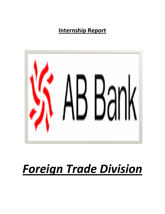# **Internship Report**



# *Foreign Trade Division*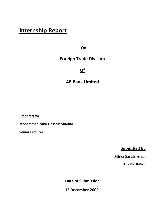# **Internship Report**

**On the contract of the contract of the contract of the contract of the contract of the contract of the contract of the contract of the contract of the contract of the contract of the contract of the contract of the contra** 

# **Foreign Trade Division**

**Of**

# **AB Bank Limited**

**Prepared for**

**Mohammad Zakir Hossain Sharkar**

**Senior Lecturer** 

**Submitted by** 

 **Mirza Sarah Alam** 

**ID # 05104026** 

**Date of Submission**

**15 December,2009.**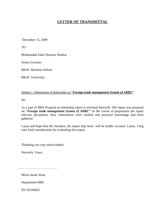# **LETTER OF TRANSMITTAL**

December 15, 2009

TO

Mohammad Zakir Hossain Sharkar

Senior Lecturer

BRAC Business School

BRAC University.

#### Subject:- Submission of Internship on "*Foreign trade management System of ABBL"*

Sir,

As a part of BBA Program an internship report is enclosed herewith. The report was prepared on "*Foreign trade management System of ABBL"* .In the course of preparation the report relevant documents, data, information were studied and practical knowledge had been gathered.

I pray and hope that the mistakes, the report may have, will be kindly excused. Lastly, I beg your kind consideration for evaluating this report.

Thanking you very much indeed.

Sincerely Yours,

Mirza Sarah Alam

Department-BBS

ID- 05104026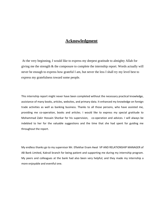# **Acknowledgment**

 At the very beginning, I would like to express my deepest gratitude to almighty Allah for giving me the strength & the composure to complete the internship report. Words actually will never be enough to express how grateful I am, but never the less I shall try my level best to express my gratefulness toward some people.

This internship report might never have been completed without the necessary practical knowledge, assistance of many books, articles, websites, and primary data. It enhanced my knowledge on foreign trade activities as well as banking business. Thanks to all those persons, who have assisted me, providing me co‐operation, books and articles. I would like to express my special gratitude to Mohammad Zakir Hossain Shorkar for his supervision, co-operation and advices. I will always be indebted to her for the valuable suggestions and the time that she had spent for guiding me throughout the report.

My endless thanks go to my supervisor Mr. Eftekhar Enam Awal VP AND RELATIONSHIP MANAGER of AB Bank Limited, Kakrail branch for being patient and supporting me during my internship program. My peers and colleagues at the bank had also been very helpful; and they made my internship a more enjoyable and eventful one.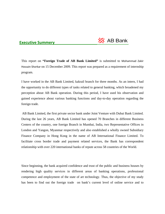### **Executive Summery**



This report on **"Foreign Trade of AB Bank Limited"** is submitted to Mohammad Zakir Hossain Shorkar on 15 December 2009. This report was prepared as a requirement of internship program.

I have worked in the AB Bank Limited, kakrail branch for three months. As an intern, I had the opportunity to do different types of tasks related to general banking, which broadened my perception about AB Bank operation. During this period, I have used his observation and gained experience about various banking functions and day-to-day operation regarding the foreign trade.

 AB Bank Limited, the first private sector bank under Joint Venture with Dubai Bank Limited. During the last 26 years, AB Bank Limited has opened 70 Branches in different Business Centers of the country, one foreign Branch in Mumbai, India, two Representative Offices in London and Yangon, Myanmar respectively and also established a wholly owned Subsidiary Finance Company in Hong Kong in the name of AB International Finance Limited. To facilitate cross border trade and payment related services, the Bank has correspondent relationship with over 220 international banks of repute across 58 countries of the World.

Since beginning, the bank acquired confidence and trust of the public and business houses by rendering high quality services in different areas of banking operations, professional competence and employment of the state of art technology. Thus, the objective of my study has been to find out the foreign trade on bank's current level of online service and to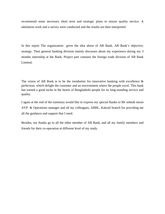recommend some necessary short term and strategic plans to ensure quality service. A tabulation work and a survey were conducted and the results are then interpreted.

In this report The organization gives the idea about of AB Bank, AB Bank's objective, strategy. Then general banking division mainly discusses about my experience during my 3 months internship at the Bank. Project part contains the foreign trade division of AB Bank Limited,

The vision of AB Bank is to be the trendsetter for innovative banking with excellence  $\&$ perfection, which delight the customer and an environment where the people excel. This bank has earned a good niche in the hearts of Bangladeshi people for its long-standing service and quality.

I again at the end of the summary would like to express my special thanks to Mr soheab imran AVP & Operations manager and all my colleagues, ABBL, Kakrail branch for providing me all the guidance and support that I need.

Besides, my thanks go to all the other member of AB Bank, and all my family members and friends for their co-operation at different level of my study.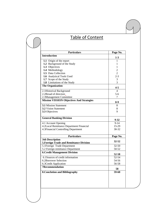# Table of Content

| <b>Introduction</b>                                                | Page No.           |
|--------------------------------------------------------------------|--------------------|
|                                                                    | $1-3$              |
| 1.1 Origin of the report                                           | 1                  |
| 1.2 Background of the Study                                        | 1                  |
| 1.3 Objectives                                                     | $\mathbf{1}$       |
| 1.4 Methodology                                                    | $\overline{2}$     |
| 1.5 Data Collection                                                | $\overline{2}$     |
| 1.6 Analytical Tools Used                                          | $2 - 3$            |
| 1.7 Scope of the Study                                             | 3                  |
| 1.8 Limitations of the Study                                       | 3                  |
| <b>The Organization</b>                                            | $4 - 5$            |
| 2.1 Historical Background                                          | $\overline{4}$     |
| 2.2Broad of directors                                              | $5-6$              |
| 2.3Management Committee                                            | 7                  |
| <b>Mission VISSION Objectives And Strategies</b>                   |                    |
|                                                                    | $8-9$              |
| <b>3.1 Mission Statement</b>                                       | 8                  |
| <b>3.2 Vision Statement</b>                                        | 8                  |
| 3.3 Objectives                                                     | 9                  |
| <b>General Banking Division</b>                                    | $9 - 32$           |
| 4.1 Account Opening                                                | $9 - 14$           |
| 4.2Local Remittance Department Financial                           | 15-29              |
| 4.3Financial Controlling Department                                | 30-32              |
| <b>Particulars</b>                                                 |                    |
|                                                                    | Page No.           |
| <b>Job Description</b><br>5. Foreign Trade and Remittance Division | $32 - 52$          |
| 5.1 Foreign Trade Department                                       | $32 - 50$          |
| 5.2 Foreign remittance Department                                  | 50-52              |
| <b>6. Credit Management Division</b>                               |                    |
| 6.1 Sources of credit information                                  | 52-58<br>$52 - 54$ |
|                                                                    |                    |
| 6.2Borrower Selection                                              | 54-56              |
| 6.3Credit Application                                              | 56-58              |
|                                                                    | 58                 |
| <b>7Recommendation</b>                                             |                    |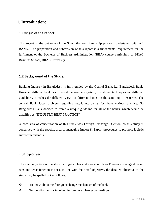# **1. Introduction:**

#### **1.1Origin of the report:**

This report is the outcome of the 3 months long internship program undertaken with AB BANK.. The preparation and submission of this report is a fundamental requirement for the fulfillment of the Bachelor of Business Administration (BBA) course curriculum of BRAC Business School, BRAC University.

### **1.2 Background of the Study:**

Banking Industry in Bangladesh is fully guided by the Central Bank, i.e. Bangladesh Bank. However, different bank has different management system, operational techniques and different guidelines. It makes the different views of different banks on the same topics & terms. The central Bank faces problem regarding regulating banks for there various practice. So Bangladesh Bank decided to frame a unique guideline for all of the banks, which would be classified as "INDUSTRY BEST PRACTICE".

A core area of concentration of this study was Foreign Exchange Division, so this study is concerned with the specific area of managing Import & Export procedures to promote logistic support in business.

# **1.3Objectives :**

The main objective of the study is to get a clear-cut idea about how Foreign exchange division runs and what function it does. In line with the broad objective, the detailed objective of the study may be spelled out as follows:

- \* To know about the foreign exchange mechanism of the bank.
- $\mathbf{\hat{P}}$  To identify the risk involved in foreign exchange proceedings.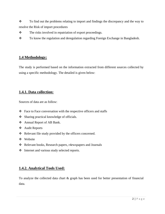\* To find out the problems relating to import and findings the discrepancy and the way to resolve the Risk of import procedures

- The risks involved in repatriation of export proceedings.
- \* To know the regulation and deregulation regarding Foreign Exchange in Bangladesh.

# **1.4 Methodology:**

The study is performed based on the information extracted from different sources collected by using a specific methodology. The detailed is given below:

# **1.4.1. Data collection:**

Sources of data are as follow:

- $\triangle$  Face to Face conversation with the respective officers and staffs
- ❖ Sharing practical knowledge of officials.
- Annual Report of AB Bank.
- Audit Reports
- \* Relevant file study provided by the officers concerned.
- Website
- Relevant books, Research papers, r4ewspapers and Journals
- Internet and various study selected reports.

# **1.4.2. Analytical Tools Used:**

To analyze the collected data chart & graph has been used for better presentation of financial data.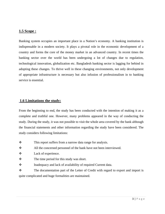#### **1.5 Scope :**

Banking system occupies an important place in a Nation's economy. A banking institution is indispensable in a modern society. It plays a pivotal role in the economic development of a country and forms the core of the money market in an advanced country. In recent times the banking sector over the world has been undergoing a lot of changes due to regulation, technological innovation, globalization etc. Bangladesh banking sector is lagging for behind in adopting these changes. To thrive well in these changing environments, not only development of appropriate infrastructure is necessary but also infusion of professionalism in to banking service is essential.

#### **1.6 Limitations the study:**

From the beginning to end, the study has been conducted with the intention of making it as a complete and truthful one. However, many problems appeared in the way of conducting the study. During the study, it was not possible to visit the whole area covered by the bank although the financial statements and other information regarding the study have been considered. The study considers following limitations:

 $\mathbf{\hat{P}}$  This report suffers from a narrow data range for analysis.

All the concerned personnel of the bank have not been interviewed.

- Lack of experience.
- $\mathbf{\hat{P}}$  The time period for this study was short.
- \* Inadequacy and lack of availability of required Current data.

\* The documentation part of the Letter of Credit with regard to export and import is quite complicated and huge formalities are maintained.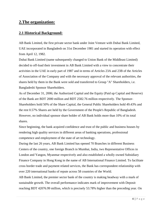# **2.The organization:**

# **2.1 Historical Background:**

AB Bank Limited, the first private sector bank under Joint Venture with Dubai Bank Limited, UAE incorporated in Bangladesh on 31st December 1981 and started its operation with effect from April 12, 1982.

Dubai Bank Limited (name subsequently changed to Union Bank of the Middleast Limited) decided to off-load their investment in AB Bank Limited with a view to concentrate their activities in the UAE in early part of 1987 and in terms of Articles 23A and 23B of the Articles of Association of the Company and with the necessary approval of the relevant authorities, the shares held by them in the Bank were sold and transferred to Group "A" Shareholders, i.e. Bangladeshi Sponsor Shareholders.

As of December 31, 2006; the Authorized Capital and the Equity (Paid up Capital and Reserve) of the Bank are BDT 2000 million and BDT 2582.76 million respectively. The Sponsor-Shareholders hold 50% of the Share Capital, the General Public Shareholders hold 49.43% and the rest 0.57% Shares are held by the Government of the People's Republic of Bangladesh. However, no individual sponsor share holder of AB Bank holds more than 10% of its total shares.

Since beginning, the bank acquired confidence and trust of the public and business houses by rendering high quality services in different areas of banking operations, professional competence and employment of the state of art technology.

During the last 26 years, AB Bank Limited has opened 70 Branches in different Business Centers of the country, one foreign Branch in Mumbai, India, two Representative Offices in London and Yangon, Myanmar respectively and also established a wholly owned Subsidiary Finance Company in Hong Kong in the name of AB International Finance Limited. To facilitate cross border trade and payment related services, the Bank has correspondent relationship with over 220 international banks of repute across 58 countries of the World.

AB Bank Limited, the premier sector bank of the country is making headway with a mark of sustainable growth. The overall performance indicates mark of improvement with Deposit reaching BDT 42076.99 million, which is precisely 53.78% higher than the preceding year. On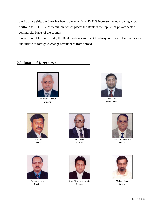the Advance side, the Bank has been able to achieve 46.32% increase, thereby raising a total portfolio to BDT 31289.25 million, which places the Bank in the top tier of private sector commercial banks of the country.

On account of Foreign Trade, the Bank made a significant headway in respect of import, export and inflow of foreign exchange remittances from abroad.

# **2.2 Board of Directors :**



M. Wahidul Haque Chairman



Sajedur Seraj Vice Chairman



Salim Ahmed Director



M. A. Awal Director



Shishir Ranjan Bose Director



Faheemul Huq Director



Syed Afzal Hasan Uddin Director



Mishaal Kabir Director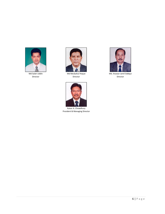

Md Salah Uddin Director



Md Mesbahul Hoque Director



Kaiser A. Chowdhury President & Managing Director



Md. Anawar Jamil Siddqui Director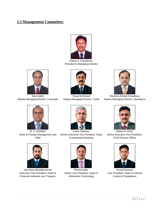# **2.3 Management Committee:**



Kaiser A. Chowdhury President & Managing Director



Niaz Habib Deputy Managing Director, Corporate



M. A. Abdullah Head of Change Management and HRM



Abu Hena Mustafa Kamal Executive Vice President, Head of Financial Institution and Treasury



Faruq M Ahmed Deputy Managing Director, Credit



Fazlur Rahman Senior Executive Vice President, Head of Investment Banking



Reazul Islam Senior Vice President, Head of Information Technology



Shamim Ahmed Chaudhury Deputy Managing Director, Operations



Badrul H. Khan Senior Executive Vice President, Chief Finance Officer



Amzad Hossain Vice President, Head of Internal Control & Compliance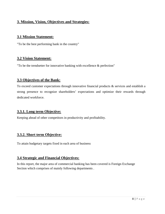# **3. Mission, Vision, Objectives and Strategies:**

#### **3.1 Mission Statement:**

"To be the best performing bank in the country"

# **3.2 Vision Statement:**

"To be the trendsetter for innovative banking with excellence & perfection"

# **3.3 Objectives of the Bank:**

To exceed customer expectations through innovative financial products  $\&$  services and establish a strong presence to recognize shareholders' expectations and optimize their rewards through dedicated workforce.

# **3.3.1. Long term Objective:**

Keeping ahead of other competitors in productivity and profitability.

# **3.3.2. Short term Objective:**

To attain budgetary targets fixed in each area of business

# **3.4 Strategic and Financial Objectives:**

In this report, the major area of commercial banking has been covered is Foreign Exchange Section which comprises of mainly following departments .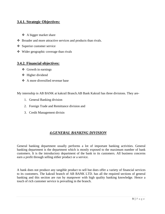# **3.4.1. Strategic Objectives:**

- ❖ A bigger market share
- Broader and more attractive services and products than rivals.
- Superior customer service
- Wider geographic coverage than rivals

#### **3.4.2. Financial objectives:**

- Growth in earnings
- **❖** Higher dividend
- $\triangle$  A more diversified revenue base

My internship in AB BANK at kakrail Branch.AB Bank Kakrail has three divisions. They are-

- 1. General Banking division
- 2. Foreign Trade and Remittance division and
- 3. Credit Management divisin

# *4.GENERAL BANKING DIVISION*

General banking department usually performs a lot of important banking activities. General banking department is the department which is mostly exposed to the maximum number of bank customers. It is the introductory department of the bank to its customers. All business concerns earn a profit through selling either product or a service.

A bank does not produce any tangible product to sell but does offer a variety of financial services to its customers. The kakrail branch of AB BANK LTD. has all the required sections of general banking and this section are run by manpower with high quality banking knowledge. Hence a touch of rich customer service is prevailing in the branch.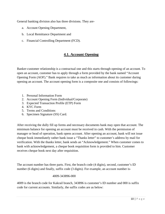General banking division also has three divisions. They are-

- a. Account Opening Department,
- b. Local Remittance Department and
- c. Financial Controlling Department (FCD).

# **4.1. Account Opening**

Banker-customer relationship is a contractual one and this starts through opening of an account. To open an account, customer has to apply through a form provided by the bank named "Account Opening Form (AOF)." Bank requires to take as much as information about its customer during opening an account. The account opening form is a composite one and consists of followings:

- 1. Personal Information Form
- 2. Account Opening Form (Individual/Corporate)
- 3. Expected Transaction Profile (ETP) Form
- 4. KYC Form
- 5. Terms and Conditions
- 6. Specimen Signature (SS) Card.

After receiving the dully fill up forms and necessary documents bank may open that account. The minimum balance for opening an account must be received in cash. With the permission of manager or head of operation, bank opens account. After opening an account, bank will not issue cheque book immediately rather bank issue a "Thanks letter" to customer's address by mail for verification. With the thanks letter, bank sends an "Acknowledgement." When customer comes to bank with acknowledgement, a cheque book requisition form is provided to him. Customer receives cheque book next day after requisition.

The account number has three parts. First, the branch code (4 digits), second, customer's ID number (6 digits) and finally, suffix code (3 digits). For example, an account number is-

#### 4009-343896-000

4009 is the branch code for Kakrail branch, 343896 is customer's ID number and 000 is suffix code for current accounts. Similarly, the suffix codes are as below: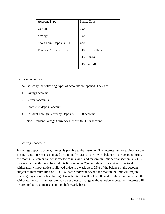| <b>Account Type</b>      | <b>Suffix Code</b> |
|--------------------------|--------------------|
| Current                  | 000                |
| Savings                  | 300                |
| Short Term Deposit (STD) | 430                |
| Foreign Currency (FC)    | 040 (US Dollar)    |
|                          | 043 (Euro)         |
|                          | 048 (Pound)        |

#### **Types of accounts**

- **A.** Basically the following types of accounts are opened. They are-
- 1. Savings account
- 2. Current accounts
- 3. Short term deposit account
- 4. Resident Foreign Currency Deposit (RFCD) account
- 5. Non-Resident Foreign Currency Deposit (NFCD) account

#### 1. Savings Account:

In savings deposit account, interest is payable to the customer. The interest rate for savings account is 6 percent. Interest is calculated on a monthly basis on the lowest balance in the account during the month. Customer can withdraw twice in a week and maximum limit per transaction is BDT.25 thousand and withdrawal beyond this limit requires 7(seven) days prior notice. If the total withdrawal without notice is allowed twice in a week up to 25% of the balance in the account subject to maximum limit of BDT.25,000 withdrawal beyond the maximum limit will require 7(seven) days prior notice, failing of which interest will not be allowed for the month in which the withdrawal occurs. Interest rate may be subject to change without notice to customer. Interest will be credited to customers account on half-yearly basis.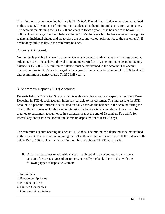The minimum account opening balance is Tk.10, 000. The minimum balance must be maintained in the account. The amount of minimum initial deposit is the minimum balance for maintenance. The account maintaining fee is Tk.500 and charged twice a year. If the balance falls below Tk.10, 000, bank will charge minimum balance charge Tk.250 half-yearly. The bank reserves the right to realize an incidental charge and or/ to close the account without prior notice to the customer(s), if he/she/they fail to maintain the minimum balance.

# 2. Current Account:

No interest is payable in current accounts. Current account has advantages over savings account. Advantages are - no such withdrawal limit and overdraft facility. The minimum account opening balance is Tk.5, 000. The minimum balance must be maintained in the account. The account maintaining fee is Tk.500 and charged twice a year. If the balance falls below Tk.5, 000, bank will charge minimum balance charge Tk.250 half-yearly.

# 3. Short term Deposit (STD) Account:

Deposits held for 7 days to 89 days which is withdrawable on notice are specified as Short Term Deposits. In STD deposit account, interest is payable to the customer. The interest rate for STD account is 4 percent. Interest is calculated on daily basis on the balance in the account during the month. But customer will only receive interest if the balance is 5 lac or above. Interest will be credited to customers account once in a calendar year at the end of December. To qualify for interest any credit into the account must remain deposited for at least 07 days.

The minimum account opening balance is Tk.10, 000. The minimum balance must be maintained in the account. The account maintaining fee is Tk.500 and charged twice a year. If the balance falls below Tk.10, 000, bank will charge minimum balance charge Tk.250 half-yearly.

- **B.** A banker-customer relationship starts through opening an accounts. A bank opens accounts for various types of customers. Normally the banks have to deal with the following types of deposit customers:
- 1. Individuals
- 2. Proprietorship Firms
- 3. Partnership Firms
- 4. Limited Companies
- 5. Clubs and Associations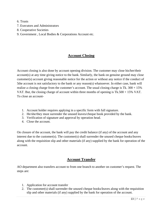- 6. Trusts
- 7. Executors and Administrators
- 8. Cooperative Societies
- 9. Government , Local Bodies & Corporations Account etc.

# **Account Closing**

Account closing is also done by account opening division. The customer may close his/her/their account(s) at any time giving notice to the bank. Similarly, the bank on genuine ground may close customer(s) account giving reasonable notice for the action or without any notice if the conduct of 5the account is not satisfactory to the bank or any reason(s) whatsoever. In either case, bank will realize a closing charge from the customer's account. The usual closing charge is Tk.  $300 + 15\%$ VAT. But, the closing charge of account within three months of opening is Tk.500 + 15% VAT. To close an account-

- 1. Account holder requires applying in a specific form with full signature.
- 2. He/she/they must surrender the unused leaves/cheque book provided by the bank.
- 3. Verification of signature and approval by operation head.
- 4. Close the account.

On closure of the account, the bank will pay the credit balance (if any) of the account and any interest due to the customer(s). The customer(s) shall surrender the unused cheque books/leaves along with the requisition slip and other materials (if any) supplied by the bank for operation of the account.

# **Account Transfer**

AO department also transfers account to from one branch to another on customer's request. The steps are:

- 1. Application for account transfer
- 2. The customer(s) shall surrender the unused cheque books/leaves along with the requisition slip and other materials (if any) supplied by the bank for operation of the account.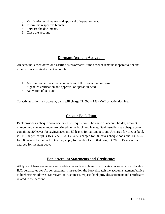- 3. Verification of signature and approval of operation head.
- 4. Inform the respective branch.
- 5. Forward the documents.
- 6. Close the account.

# **Dormant Account Activation**

An account is considered or classified as "Dormant" if the account remains inoperative for six months. To activate dormant account-

- 1. Account holder must come to bank and fill up an activation form.
- 2. Signature verification and approval of operation head.
- 3. Activation of account.

To activate a dormant account, bank will charge  $Tk.500 + 15\%$  VAT as activation fee.

# **Cheque Book Issue**

Bank provides a cheque book one day after requisition. The name of account holder, account number and cheque number are printed on the book and leaves. Bank usually issue cheque book containing 20 leaves for savings account, 50 leaves for current account. A charge for cheque book is Tk.1.50 per leaf plus 15% VAT. So, Tk.34.50 charged for 20 leaves cheque book and Tk.86.25 for 50 leaves cheque book. One may apply for two books. In that case,  $Tk.200 + 15\%$  VAT is charged for the next book.

# **Bank Account Statements and Certificates**

All types of bank statements and certificates such as solvency certificates, income tax certificates, B.O. certificates etc. As per customer's instruction the bank dispatch the account statement/advice to his/her/their address. Moreover, on customer's request, bank provides statement and certificates related to the account.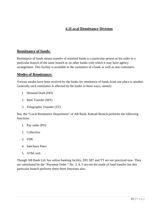# **4.2Local Remittance Division**

# **Remittance of funds:**

Remittance of funds means transfer of remitted funds to a particular person or his order in a particular branch of the same branch or on other banks with which it may have agency arrangement. This facility is available to the customers of a bank as well as non-customers.

# **Modes of Remittance:**

Various modes have been evolved by the banks for remittance of funds from one place to another. Generally such remittance is affected by the banks in three ways, namely:

- 1. Demand Draft (DD)
- 2. Mail Transfer (MT)
- 3. Telegraphic Transfer (TT)

But, the "Local Remittance Department" of AB Bank, Kakrail Branch performs the following functions:

- 1. Pay order (PO)
- 2. Collection
- 3. FDR
- 4. Sanchaya Patra
- 5. ATM card.

Though AB Bank Ltd. has online banking facility, DD, MT and TT are not practiced now. They are substituted by the "Payment Order." No. 3, 4, 5 are not the mode of fund transfer but this particular branch performs these three functions also.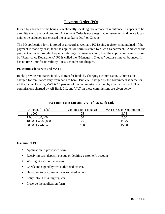# **Payment Order (PO)**

Issued by a branch of the banks is, technically speaking, not a mode of remittance. It appears to be a remittance to the local creditor. A Payment Order is not a negotiable instrument and hence it can neither be endorsed nor crossed like a banker's Draft or Cheque.

The PO application form is stored as a record as well as a PO issuing register is maintained. If the payment is made by cash, then the application form is stored by "Cash Department." And when the payment is made through cheque or debiting customers account, then the application form is stored by "Remittance Department." PO is called the "Manager's Cheque" because it never bounces. It has no time limit for its validity like six months for cheques.

#### **PO commissions rate and VAT:**

Banks provide remittance facility to transfer funds by charging a commission. Commissions charged for remittance vary from bank to bank. But VAT charged by the government is same for all the banks. Usually, VAT is 15 percent of the commission charged by a particular bank. The commissions charged by AB Bank Ltd. and VAT on these commissions are given below:

| Amount (in taka)    | Commission (in taka) | VAT (15% on Commission) |
|---------------------|----------------------|-------------------------|
| 1 - 1000            |                      | 3.75                    |
| $1,001 - 100,000$   | 50                   | 7.50                    |
| $100,001 - 500,000$ |                      | 11.25                   |
| $500,001 - Above$   | 00                   | 15 OO                   |

#### **PO commission rate and VAT of AB Bank Ltd.**

#### **Issuance of PO**

- Application in prescribed form
- Receiving cash deposit, cheque or debiting customer's account
- Writing PO without alteration
- Check and signed by two authorized officer.
- Handover to customer with acknowledgement
- Entry into PO issuing register
- Preserve the application form.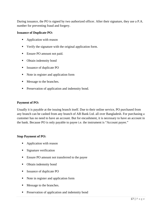During issuance, the PO is signed by two authorized officer. After their signature, they use a P.A. number for preventing fraud and forgery.

#### **Issuance of Duplicate PO:**

- Application with reason
- Verify the signature with the original application form.
- Ensure PO amount not paid.
- **•** Obtain indemnity bond
- Issuance of duplicate PO
- Note in register and application form
- **Message to the branches.**
- **Preservation of application and indemnity bond.**

#### **Payment of PO:**

Usually it is payable at the issuing branch itself. Due to their online service, PO purchased from any branch can be cashed from any branch of AB Bank Ltd. all over Bangladesh. For purchasing a customer has no need to have an account. But for encashment, it is necessary to have an account in the bank. Because PO is only payable to payee i.e. the instrument is "Account payee."

#### **Stop Payment of PO:**

- Application with reason
- Signature verification
- Ensure PO amount not transferred to the payee
- Obtain indemnity bond
- **Issuance of duplicate PO**
- Note in register and application form
- **Message to the branches.**
- **Preservation of application and indemnity bond**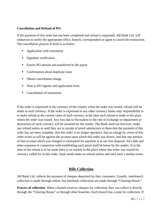#### **Cancellation and Refund of PO:**

If the payment of this order has not been completed and refund is requested, AB Bank Ltd. will endeavors to notify the appropriate office, branch, correspondent or agent to cancel the transaction. The cancellation process in brief is as below:

- Application with instrument
- Signature verification
- Ensure PO amount not transferred to the payee
- Confirmation about duplicate issue
- Obtain cancellation charge
- Note in PO register and application form
- Cancellation of instrument.

If the order is expressed in the currency of the country when the order was issued, refund will be made in such currency. If the order is expressed in any other currency banks only responsibility is to make refund at the current value of such currency at the time such refund is made in the place where the order was issued. Any loss due to fluctuation in the rate of exchange or impairment or destruction of such currency will be assumed by the sender. The Bank need not however, make any refund unless or until they are in receipt of proof satisfactory to them that the payment of this order has not been complete, that this order is no longer operative, that no charge by virtue of this order exists or will be against the account upon which this order was drawn, and that any portion of that account which was charged or earmarked for payment is at our free disposal. All cable and other expenses in connection with establishing such proof shall be borne by the sender. If at the time of the refund is to be made there is no market in the place where this order was issued for currency called for in this order, bank needs make no refund unless and until such a market exists.

# **Bills Collection**

AB Bank Ltd. collects the payment of cheques deposited by their customers. Usually, interbranch collection is made through online, but interbank collections are made through "Clearing House."

**Process of collection:** When a branch receives cheques for collection, they can collect it directly through the "Clearing House" or through other branches. Each branch has a zone for collection. If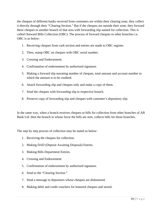the cheques of different banks received from customers are within their clearing zone, they collect it directly through their "Clearing Section." But if the cheques are outside their zone, they forward these cheques to another branch of that area with forwarding slip named for collection. This is called Outward Bills Collection (OBC). The process of forward cheques to other branches i.e. OBC is as below:

- 1. Receiving cheques from cash section and entries are made to OBC register.
- 2. Then, stamp OBC on cheques with OBC serial number.
- 3. Crossing and Endorsement.
- 4. Confirmation of endorsement by authorized signature.
- 5. Making a forward slip narrating number of cheques, total amount and account number to which the amount is to be credited.
- 6. Attach forwarding slip and cheques only and make a copy of them.
- 7. Send the cheques with forwarding slip to respective branch.
- 8. Preserve copy of forwarding slip and cheques with customer's depository slip.

In the same way, when a branch receives cheques or bills for collection from other branches of AB Bank Ltd. then the branch in whose favor the bills are sent, collects bills for those branches.

The step by step process of collection may be stated as below:

- 1. Receiving the cheques for collection.
- 2. Making DAD (Deposit Awaiting Disposal) Entries.
- 3. Making Bills Department Entries.
- 4. Crossing and Endorsement
- 5. Confirmation of endorsement by authorized signature.
- 6. Send to the "Clearing Section."
- 7. Send a message to depositors whose cheques are dishonored.
- 9. Making debit and credit vouchers for honored cheques and stored.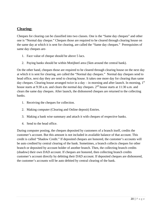# **Clearing:**

Cheques for clearing can be classified into two classes. One is the "Same day cheques" and other one is "Normal day cheque." Cheques those are required to be cleared through clearing house on the same day at which it is sent for clearing, are called the "Same day cheques." Prerequisites of same day cheques are-

- 1. Face value of cheque should be above 5 lacs.
- 2. Paying banks should be within Motijheel area (5km around the central bank).

On the other hand, cheques those are required to be cleared through clearing house on the next day at which it is sent for clearing, are called the "Normal day cheques." Normal day cheques send to head office, next day they are send to clearing house. It takes one more day for clearing than same day cheques. Clearing house arranged twice in a day – in morning and after launch. In morning,  $1<sup>st</sup>$ house starts at 9:30 a.m. and clears the normal day cheques.  $2<sup>nd</sup>$  house starts at 11:30 a.m. and clears the same day cheques. After launch, the dishonored cheques are returned to the collecting banks.

- 1. Receiving the cheques for collection.
- 2. Making computer (Clearing and Online deposit) Entries.
- 3. Making a bank wise summary and attach it with cheques of respective banks.
- 4. Send to the head office.

During computer posting, the cheques deposited by customers of a branch itself, credits the customer's account. But this amount is not included in available balance of that account. This credit is called "Shadow Credit." If deposited cheques are honored, the customer's accounts will be auto credited by central clearing of the bank. Sometimes, a branch collects cheques for other branch or deposited by account holder of another branch. Then, the collecting branch credits (shadow) their own DAD account. If cheques are honored, then collecting branch credits customer's account directly by debiting their DAD account. If deposited cheques are dishonored, the customer's accounts will be auto debited by central clearing of the bank.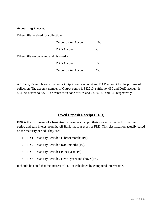#### **Accounting Process:**

When bills received for collection-

|                                         | <b>Output contra Account</b> | Dr.        |
|-----------------------------------------|------------------------------|------------|
|                                         | <b>DAD</b> Account           | Cr.        |
| When bills are collected and disposed - |                              |            |
|                                         | DAD Account                  | Dr.        |
|                                         | <b>Output contra Account</b> | $\Gamma$ . |

AB Bank, Kakrail branch maintains Output contra account and DAD account for the purpose of collection. The account number of Output contra is 832210, suffix no. 050 and DAD account is 884270, suffix no. 050. The transaction code for Dr. and Cr. is 140 and 640 respectively.

# **Fixed Deposit Receipt (FDR)**

FDR is the instrument of a bank itself. Customers can put their money in the bank for a fixed period and earn interest from it. AB Bank has four types of FRD. This classification actually based on the maturity period. They are:

- 1. FD 1 Maturity Period: 3 (Three) months (P1).
- 2. FD 2 Maturity Period: 6 (Six) months (P2).
- 3. FD 4 Maturity Period: 1 (One) year (P4).
- 4. FD 5 Maturity Period: 2 (Two) years and above (P5).

It should be noted that the interest of FDR is calculated by compound interest rate.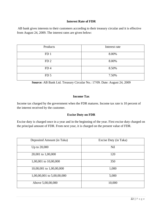#### **Interest Rate of FDR**

 AB bank gives interests to their customers according to their treasury circular and it is effective from August 24, 2009. The interest rates are given below:

| Products        | Interest rate |
|-----------------|---------------|
| FD <sub>1</sub> | 8.00%         |
| FD <sub>2</sub> | 8.00%         |
| FD <sub>4</sub> | 8.50%         |
| FD <sub>5</sub> | 7.50%         |

**Source:** AB Bank Ltd. Treasury Circular No.: 17/09. Date: August 24, 2009

#### **Income Tax**

Income tax charged by the government when the FDR matures. Income tax rate is 10 percent of the interest received by the customer.

#### **Excise Duty on FDR**

Excise duty is charged once in a year and in the beginning of the year. First excise duty charged on the principal amount of FDR. From next year, it is charged on the present value of FDR.

| Deposited Amount (in Taka) | Excise Duty (in Taka) |
|----------------------------|-----------------------|
| Up to 20,000               | <b>Nil</b>            |
| 20,001 to 1,00,000         | 120                   |
| 1,00,001 to 10,00,000      | 350                   |
| 10,00,001 to 1,00,00,000   | 1,000                 |
| 1,00,00,001 to 5,00,00,000 | 5,000                 |
| Above 5,00,00,000          | 10,000                |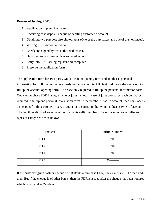#### **Process of Issuing FDR:**

- 1. Application in prescribed form.
- 2. Receiving cash deposit, cheque or debiting customer's account.
- 3. Obtaining two passport size photographs (One of the purchasers and one of the nominees).
- 4. Writing FDR without alteration.
- 5. Check and signed by two authorized officer.
- 6. Handover to customer with acknowledgement.
- 7. Entry into FDR issuing register and computer.
- 8. Preserve the application form.

The application form has two parts. One is account opening form and another is personal information form. If the purchaser already has an account in AB Bank Ltd. he or she needs not to fill up the account opening form. He or she only required to fill up the personal information form. One can purchase FDR in single name or joint names. In case of joint purchaser, each purchaser required to fill up one personal information form. If the purchaser has no account, then bank opens an account for the customer. Every account has a suffix number which indicates types of account. The last three digits of an account number is its suffix number. The suffix numbers of different types of categories are as below:

| Products        | <b>Suffix Numbers</b> |
|-----------------|-----------------------|
| FD <sub>1</sub> | 200                   |
| FD <sub>2</sub> | 202                   |
| FD <sub>4</sub> | 206                   |
| FD <sub>5</sub> | 20                    |

If the customer gives cash or cheque of AB Bank to purchase FDR, bank can issue FDR then and then. But if the cheque is of other banks, then the FDR is issued after the cheque has been honored which usually takes 2-3 days.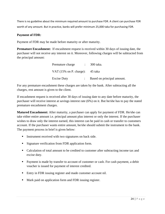There is no guideline about the minimum required amount to purchase FDR. A client can purchase FDR worth of any amount. But in practice, banks will prefer minimum 25,000 taka for purchasing FDR.

#### **Payment of FDR:**

Payment of FDR may be made before maturity or after maturity.

**Premature Encashment:** If encashment request is received within 30 days of issuing date, the purchaser will not receive any interest on it. Moreover, following charges will be subtracted from the principal amount:

| Premature charge                                     | 300 taka.                  |
|------------------------------------------------------|----------------------------|
| VAT $(15\% \text{ on } P \text{.)}$ charge): 45 taka |                            |
| <b>Excise Duty</b>                                   | Based on principal amount. |

For any premature encashment these charges are taken by the bank. After subtracting all the charges, rest amount is given to the client.

If encashment request is received after 30 days of issuing date to any date before maturity, the purchaser will receive interest at savings interest rate (6%) on it. But he/she has to pay the stated premature encashment charges.

**Matured Encashment:** After maturity, a purchaser can apply for payment of FDR. He/she can take either entire amount i.e. principal amount plus interest or only the interest. If the purchaser wishes to draw only the interest earned, this interest can be paid in cash or transfer to customers account. If the purchaser wants entire amount, he/she should submit the instrument to the bank. The payment process in brief is given below:

- **Instrument received with two signatures on back side.**
- Signature verification from FDR application form.
- Calculation of total amount to be credited to customer after subtracting income tax and excise duty.
- Payment is made by transfer to account of customer or cash. For cash payment, a debit voucher is issued for payment of interest credited.
- Entry in FDR issuing register and made customer account nil.
- Mark paid on application form and FDR issuing register.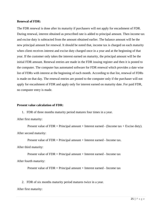#### **Renewal of FDR:**

The FDR renewal is done after its maturity if purchasers will not apply for encashment of FDR. During renewal, interest obtained as prescribed rate is added to principal amount. Then income tax and excise duty is subtracted from the amount obtained earlier. The balance amount will be the new principal amount for renewal. It should be noted that, income tax is charged on each maturity when client receives interest and excise duty charged once in a year and at the beginning of that year. If the customer only takes the interest earned on maturity, the principal amount will be the initial FDR amount. Renewal entries are made in the FDR issuing register and then it is posted to the computer. The computer has automated software for FDR renewal which provides a date wise list of FDRs with interest at the beginning of each month. According to that list, renewal of FDRs is made on that day. The renewal entries are posted to the computer only if the purchaser will not apply for encashment of FDR and apply only for interest earned on maturity date. For paid FDR, no computer entry is made.

#### **Present value calculation of FDR:**

1. FDR of three months maturity period matures four times in a year.

After first maturity:

Present value of  $FDR = Principal$  amount + Interest earned - (Income tax + Excise duty). After second maturity:

Present value of FDR = Principal amount + Interest earned - Income tax.

After third maturity:

Present value of  $FDR = Principal$  amount  $+$  Interest earned  $-$  Income tax

After fourth maturity:

Present value of  $FDR = Principal$  amount  $+$  Interest earned  $-$  Income tax

2. FDR of six months maturity period matures twice in a year.

After first maturity: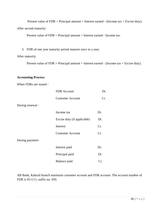Present value of  $FDR = Principal$  amount + Interest earned - (Income tax + Excise duty). After second maturity:

Present value of FDR = Principal amount + Interest earned - Income tax.

3. FDR of one year maturity period matures once in a year.

#### After maturity:

Present value of  $FDR = Principal$  amount + Interest earned - (Income tax + Excise duty).

#### **Accounting Process:**

When FDRs are issued -

|                  | <b>FDR</b> Account          | Dr. |
|------------------|-----------------------------|-----|
|                  | <b>Customer Account</b>     | Cr. |
| During renewal - |                             |     |
|                  | Income tax                  | Dr. |
|                  | Excise duty (if applicable) | Dr. |
|                  | Interest                    | Cr. |
|                  | <b>Customer Account</b>     | Cr. |
| During payment-  |                             |     |
|                  | Interest paid               | Dr. |
|                  | Principal paid              | Dr. |
|                  | Balance paid                | Cr. |

AB Bank, Kakrail branch maintains customer account and FDR account. The account number of FDR is 911111, suffix no. 050.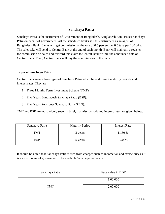# **Sanchaya Patra**

Sanchaya Patra is the instrument of Government of Bangladesh. Bangladesh Bank issues Sanchaya Patra on behalf of government. All the scheduled banks sell this instrument as an agent of Bangladesh Bank. Banks will get commission at the rate of 0.5 percent i.e. 0.5 taka per 100 taka. The sales taka will send to Central Bank at the end of each month. Bank will maintain a register for commission on sales and forward this claim to Central Bank within the announced date of Central Bank. Then, Central Bank will pay the commissions to the bank.

#### **Types of Sanchaya Patra:**

Central Bank issues three types of Sanchaya Patra which have different maturity periods and interest rates. They are:

- 1. Three Months Term Investment Scheme (TMT).
- 2. Five Years Bangladesh Sanchaya Patra (BSP).
- 3. Five Years Pensioner Sanchaya Patra (PEN).

TMT and BSP are most widely seen. In brief, maturity periods and interest rates are given below:

| Sanchaya Patra | <b>Maturity Period</b> | <b>Interest Rate</b> |
|----------------|------------------------|----------------------|
| <b>TMT</b>     | 3 years                | 11.50 %              |
| <b>BSP</b>     | 5 years                | 12.00%               |

It should be noted that Sanchaya Patra is free from charges such as income tax and excise duty as it is an instrument of government. The available Sanchaya Patras are:

| Sanchaya Patra | Face value in BDT |
|----------------|-------------------|
|                | 1,00,000          |
| <b>TMT</b>     | 2,00,000          |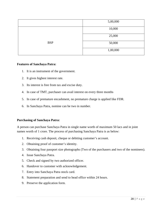|            | 5,00,000 |
|------------|----------|
|            | 10,000   |
|            | 25,000   |
| <b>BSP</b> | 50,000   |
|            | 1,00,000 |
|            |          |

#### **Features of Sanchaya Patra:**

- 1. It is an instrument of the government.
- 2. It gives highest interest rate.
- 3. Its interest is free from tax and excise duty.
- 4. In case of TMT, purchaser can avail interest on every three months
- 5. In case of premature encashment, no premature charge is applied like FDR.
- 6. In Sanchaya Patra, nomine can be two in number.

#### **Purchasing of Sanchaya Patra:**

A person can purchase Sanchaya Patra in single name worth of maximum 50 lacs and in joint names worth of 1 crore. The process of purchasing Sanchaya Patra is as below:

- 1. Receiving cash deposit, cheque or debiting customer's account.
- 2. Obtaining proof of customer's identity.
- 3. Obtaining four passport size photographs (Two of the purchasers and two of the nominees).
- 4. Issue Sanchaya Patra.
- 5. Check and signed by two authorized officer.
- 6. Handover to customer with acknowledgement.
- 7. Entry into Sanchaya Patra stock card.
- 8. Statement preparation and send to head office within 24 hours.
- 9. Preserve the application form.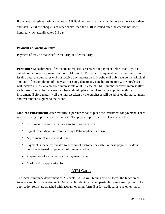If the customer gives cash or cheque of AB Bank to purchase, bank can issue Sanchaya Patra then and then. But if the cheque is of other banks, then the FDR is issued after the cheque has been honored which usually takes 2-3 days.

#### **Payment of Sanchaya Patra:**

Payment of may be made before maturity or after maturity.

**Premature Encashment:** If encashment request is received for payment before maturity, it is called premature encashment. For both TMT and BSP premature payment before one year from issuing date, the purchaser will not receive any interest on it. He/she will only receive the principal amount. After completion of one year of issuing date to any date before maturity, the purchaser will receive interest at a prefixed interest rate on it. In case of TMT, purchaser avails interest after each three months. In that case, purchaser should place the token that is supplied with the instrument. Before maturity all the interest taken by the purchaser will be adjusted during payment and rest amount is given to the client.

**Matured Encashment:** After maturity, a purchaser has to place the instrument for payment. There is no difficulty in payment after maturity. The payment process in brief is given below:

- **Instrument received with two signatures on back side.**
- Signature verification from Sanchaya Patra application form.
- Adjustment of interest paid if any.
- **Payment is made by transfer to account of customer or cash. For cash payment, a debit** voucher is issued for payment of interest credited.
- Preparation of a voucher for the payment made.
- Mark paid on application form.

# **ATM Cards**

The local remittance department of AB bank Ltd. Kakrail branch also performs the function of issuance and bills collection of ATM cards. For debit cards, no particular forms are supplied. The application forms are attached with account opening form. But for credit cards, customer has to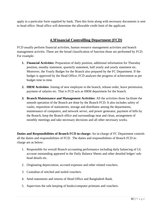apply in a particular form supplied by bank. Then this form along with necessary documents is sent to head office. Head office will determine the allowable credit limit of the applicant.

# **4.3Financial Controllling Department (FCD)**

FCD usually perform financial activities, human resource management activities and branch management activitis. These are the broad classification of function those are performed by FCD. For example-

- **1. Financial Activities:** Preparation of daily position, additional information for Thursday position, monthy statement, quarterly statement, half yearly and yearly statement etc. Moreover, the Yearly Budget for the Branch also prepared by the FC Department. If the budget is approved by the Head Office, FCD analyses the progress of achievement as per budget time to time.
- **2. HRM Activities:** Joining of new employee in the branch, release order, leave permission, payment of salaries etc. That is FCD acts as HRM department for the branch.
- **3. Branch Maintenance and Management Activities:** All the activities those facilitate the smooth operation of the Branch are done by the Branch FCD. It also includes safety of vaults, requisition of stationeries, storage and distributes among the departments, maintenance of computers, and network server, and power generator, payment of bills by the Branch, keep the Branch office and surroundings neat and clean, arrangement of monthly meetings and take necessary decisions and all other necessary works.

**Duties and Responsibilities of Branch FCD in-charge:** An in-charge of FC Department controls all the duties and responsibilities of FCD. The duties and responsibilities of Branch FCD incharge are as below:

- 1. Responsible for overall Branch accounting performance including daily balancing of GL account outstanding appeared in the Daily Balance Sheets and other detailed ledger/ subhead details etc.
- 2. Originating depreciation, accrued expenses and other related vouchers.
- 3. Custodian of stitched and sealed vouchers.
- 4. Send statements and returns of Head Office and Bangladesh Bank.
- 5. Supervises the safe keeping of books/computer printouts and vouchers.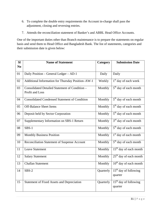- 6. To complete the double entry requirements the Account in-charge shall pass the adjustment, closing and reversing entries.
- 7. Attends the reconciliation statement of Banker's and ABBL Head Office Accounts.

One of the important duties other than Branch maintenance is to prepare the statements on regular basis and send them to Head Office and Bangladesh Bank. The list of statements, categories and their submission date is given below:

| SI             | <b>Name of Statement</b>                                          | Category  | <b>Submission Date</b>             |
|----------------|-------------------------------------------------------------------|-----------|------------------------------------|
| N <sub>0</sub> |                                                                   |           |                                    |
| 01             | Daily Position - General Ledger - AD-1                            | Daily     | Daily                              |
| 02             | Additional Information for Thursday Position-AW-1                 | Weekly    | 1 <sup>st</sup> day of each week   |
| 03             | Consolidated Detailed Statement of Condition -<br>Profit and Loss | Monthly   | 5 <sup>th</sup> day of each month  |
| 04             | <b>Consolidated Condensed Statement of Condition</b>              | Monthly   | 5 <sup>th</sup> day of each month  |
| 05             | <b>Off-Balance Sheet Items</b>                                    | Monthly   | 5 <sup>th</sup> day of each month  |
| 06             | Deposit held by Sector Corporation                                | Monthly   | 5 <sup>th</sup> day of each month  |
| 07             | Supplementary Information on SBS-1 Return                         | Monthly   | $3rd$ day of each month            |
| 08             | $SBS-1$                                                           | Monthly   | 5 <sup>th</sup> day of each month  |
| 09             | <b>Monthly Business Position</b>                                  | Monthly   | 1 <sup>st</sup> day of each month  |
| 10             | Reconciliation Statement of Suspense Account                      | Monthly   | 5 <sup>th</sup> day of each month  |
| 11             | <b>Leave Statement</b>                                            | Monthly   | 15 <sup>th</sup> day of each month |
| 12             | <b>Salary Statement</b>                                           | Monthly   | $25th$ day of each month           |
| 13             | <b>Challan Statement</b>                                          | Monthly   | $10th$ day of each month           |
| 14             | $SBS-2$                                                           | Quarterly | $15th$ day of following<br>quarter |
| 15             | <b>Statement of Fixed Assets and Depreciation</b>                 | Quarterly | $15th$ day of following<br>quarter |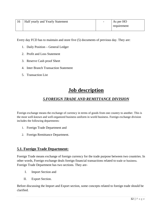| 16 | Half yearly and Yearly Statement | $\overline{\phantom{0}}$ | As per HO   |
|----|----------------------------------|--------------------------|-------------|
|    |                                  |                          | requirement |

Every day FCD has to maintain and store five (5) documents of previous day. They are:

- 1. Daily Position General Ledger
- 2. Profit and Loss Statement
- 3. Reserve Cash proof Sheet
- 4. Inter Branch Transaction Statement
- 5. Transaction List

# **Job description**

# *5.FOREIGN TRADE AND REMITTANCE DIVISION*

Foreign exchange means the exchange of currency in terms of goods from one country to another. This is the most well-known and well-organized business uniform in world business. Foreign exchange division includes the following departments:

- 1. Foreign Trade Department and
- 2. Foreign Remittance Department.

# **5.1. Foreign Trade Department:**

Foreign Trade means exchange of foreign currency for the trade purpose between two countries. In other words, Foreign exchange deals foreign financial transactions related to trade or business. Foreign Trade Department has two sections. They are-

- I. Import Section and
- II. Export Section.

Before discussing the Import and Export section, some concepts related to foreign trade should be clarified.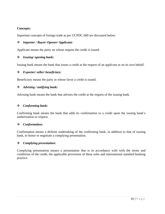#### **Concepts:**

Important concepts of foreign trade as per UCPDC 600 are discussed below:

#### *Importer / Buyer/ Opener/ Applicant:*

Applicant means the party on whose request the credit is issued.

#### *Issuing/ opening bank:*

Issuing bank means the bank that issues a credit at the request of an applicant or on its own behalf.

#### *Exporter/ seller/ beneficiary:*

Beneficiary means the party in whose favor a credit is issued.

#### *Advising / notifying bank:*

Advising bank means the bank that advises the credit at the request of the issuing bank.

#### *Conforming bank:*

Confirming bank means the bank that adds its confirmation to a credit upon the issuing bank's authorization or request.

#### *Conformation:*

Confirmation means a definite undertaking of the confirming bank, in addition to that of issuing bank, to honor or negotiate a complying presentation.

#### *Complying presentation:*

Complying presentation means a presentation that is in accordance with with the terms and conditions of the credit, the applicable provisions of these rules and international standard banking practice.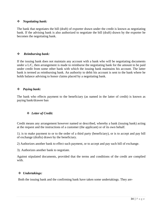#### *Negotiating bank:*

The bank that negotiates the bill (draft) of exporter drawn under the credit is known as negotiating bank. If the advising bank is also authorized to negotiate the bill (draft) drawn by the exporter he becomes the negotiating bank.

#### *Reimbursing bank:*

If the issuing bank does not maintain any account with a bank who will be negotiating documents under a L/C, then arrangement is made to reimburse the negotiating bank for the amount to be paid under credit from some other bank with which the issuing bank maintains his account. The latter bank is termed as reimbursing bank. An authority to debit his account is sent to the bank where he holds balance advising to honor claims placed by a negotiating bank.

#### *Paying bank:*

The bank who effects payment to the beneficiary (as named in the latter of credit) is known as paying bank/drawee ban

#### *Letter of Credit:*

Credit means any arrangement however named or described, whereby a bank (issuing bank) acting at the request and the instructions of a customer (the applicant) or of its own behalf.

1). is to make payment to or to the order of a third party (beneficiary), or is to accept and pay bill of exchange (drafts) drawn by the beneficiary.

2) Authorizes another bank to effect such payment, or to accept and pay such bill of exchange.

3). Authorizes another bank to negotiate.

Against stipulated documents, provided that the terms and conditions of the credit are complied with.

#### *Undertakings:*

Both the issuing bank and the confirming bank have taken some undertakings. They are-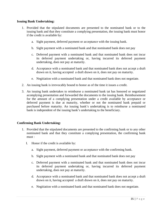#### **Issuing Bank Undertaking:**

- 1. Provided that the stipulated documents are presented to the nominated bank or to the issuing bank and that they constitute a complying presentation, the issuing bank must honor if the credit is available by:
	- a. Sight payment, deferred payment or acceptance with the issuing bank.
	- b. Sight payment with a nominated bank and that nominated bank does not pay
	- c. Deferred payment with a nominated bank and that nominated bank does not incur its deferred payment undertaking or, having incurred its deferred payment undertaking, does not pay at maturity.
	- d. Acceptance with a nominated bank and that nominated bank does not accept a draft drawn on it, having accepted a draft drawn on it, does not pay on maturity.
	- e. Negitiation with a nominated bank and that nominated bank does not negotiate.
- 2. An issuing bank is irrevocably bound to honor as of the time it issues a credit.
- 3. An issuing bank undertakes to reimburse a nominated bank tat has honored or negotiated acomplying presentation and forwarded the documents to the issuing bank. Reimbursement for the amount of a complying presentation under a credit available by acceptance or deferred payment is due at maturity, whether or not the nominated bank prepaid or purchased before maturity. An issuing bank's undertaking is to reimburse a nominated bank is independent of the issuing bank's undertaking to the beneficiary.

#### **Confirming Bank Undertaking:**

- 1. Provided that the stipulated documents are presented to the confirming bank or to any other nominated bank and that they constitute a complying presentation, the confirming bank must :
	- I. Honor if the credit is available by:
		- a. Sight payment, deferred payment or acceptance with the confirming bank.
		- b. Sight payment with a nominated bank and that nominated bank does not pay
		- c. Deferred payment with a nominated bank and that nominated bank does not incur its deferred payment undertaking or, having incurred its deferred payment undertaking, does not pay at maturity.
		- d. Acceptance with a nominated bank and that nominated bank does not accept a draft drawn on it, having accepted a draft drawn on it, does not pay on maturity.
		- e. Negitiation with a nominated bank and that nominated bank does not negotiate.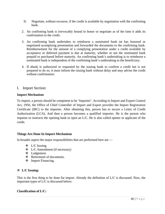- II. Negotiate, without recourse, if the credit is available by negotiation with the confirming bank.
- 2. An confirming bank is irrevocably bound to honor or negotiate as of the time it adds its confirmation to the credit.
- 3. An confirming bank undertakes to reimburse a nominated bank tat has honored or negotiated acomplying presentation and forwarded the documents to the confirming bank. Reimbursement for the amount of a complying presentation under a credit available by acceptance or deferred payment is due at maturity, whether or not the nominated bank prepaid or purchased before maturity. An confirming bank's undertaking is to reimburse a nominated bank is independent of the confirming bank's undertaking to the beneficiary.
- 4. If abank is authorized or requested by the issuing bank to confirm a credit but is not prepared to do so, it must inform the issuing bank without delay and may advise the credit without confirmation.
- I. Import Section:

#### **Import Mechanism**

To import, a person should be competent to be 'Importer'. According to Import and Export Control Act, 1950, the Office of Chief Controller of Import and Export provides the Import Registration Certificate (IRC) to the importer. After obtaining this, person has to secure a Letter of Credit Authorization (LCA). And then a person becomes a qualified importer. He is the person who requests or instructs the opening bank to open an L/C. He is also called opener or applicant of the credit.

#### **Things Are Done In Import Mechanism**

In broader aspect the major responsibilities that are performed here are —

- L/C Issuing.
- $\triangleleft$  L/C Amendment (if necessary)
- Lodgement.
- Retirement of documents.
- **\*** Import Financing.

#### **L/C Issuing:**

This is the first thing to be done for import. Already the definition of L/C is discussed. Now, the important types of L/C is discussed below:

#### **Classification of L/C:**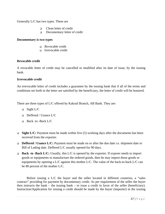#### Generally L/C has two types. These are

- Clean letter of credit
- □ Documentary letter of credit

#### **Documentary is two types**

- Revocable credit
- $\Box$  Irrevocable credit

#### **Revocable credit**

A revocable letter of credit may be cancelled or modified after its date of issue, by the issuing bank.

#### **Irrevocable credit**

An irrevocable letter of credit includes a guarantee by the issuing bank that if all of the terms and conditions set forth in the letter are satisfied by the beneficiary, the letter of credit will be honored.

There are three types of L/C offered by Kakrail Branch, AB Bank. They are:

- $\Box$  Sight L/C
- Deffered / Usance L/C
- $\Box$  Back -to -Back L/C
- **Sight L/C:** Payment must be made within five (5) working days after the documents has been received from the exporter.
- **Deffered / Usance L/C:** Payment must be made on or after the due date i.e. shipment date or Bill of Lading date. Deffered L/C usually opened for 90 days.
- **Back -to -Back L/C:** Usually, this L/C is opened by the exporter. If exporer needs to import goods or equipments to manufacture the ordered goods, then he may import those goods or equipments by opening a L/C against this mother L/C. The value of the back-to-back L/C can be 80 percent of the mother L/C.

Before issuing a L/C the buyer and the seller located in different countries, a "sales contract" providing for payment by documentary credit. As per requirement of the seller the buyer then instructs the bank – the issuing bank – to issue a credit in favor of the seller (beneficiary). Instruction/Application for issuing a credit should be made by the buyer (importer) in the issuing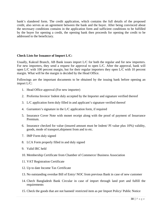bank's slandered form. The credit application, which contains the full details of the proposed credit, also serves as an agreement between the bank and the buyer. After being convinced about the necessary conditions contains in the application form and sufficient conditions to be fulfilled by the buyer for opening a credit, the opening bank then proceeds for opening the credit to be addressed to the beneficiary.

#### **Check Lists for Issuance of Import L/C:**

Usually, Kakrail Branch, AB Bank issues import L/C for both the regular and for new importers. For new importers, they send a request for approval to open L/C. After the approval, bank will open L/C with 100 percent margin, but for their regular importers they open L/C with 10 percent margin. What will be the margin is decided by the Head Office.

Followings are the important documents to be obtained by the issuing bank before opening an import L/C:

- 1. Head Office approval (For new importer)
- 2. Proforma Invoice/ Indent duly accepted by the Importer and signature verified thereof
- 3. L/C application form duly filled in and applicant's signature verified thereof
- 4. Gurrantors's signature in the L/C application form, if required
- 5. Insurance Cover Note with monet receipt along with the proof of payment of Insurrance Premium.
- 6. Insurance checked for value (insured amount must be Indent/ PI value plus 10%) validity, goods, mode of transport,shipment from and to etc.
- 7. IMP Form duly signed
- 8. LCA Form properly filled in and duly signed
- 9. Valid IRC held
- 10. Membership Certificate from Chamber of Commerce/ Business Association
- 11. VAT Registration Certificate
- 12. Up to date Income Tax Certificate
- 13. No outstanding overdue Bill of Entry/ NOC from previous Bank in case of new customer
- 14. Chech Bangladesh Bank Circular in case of import through land port and fulfill the requirements
- 15. Check the goods that are not banned/ restricted item as per Import Policy/ Public Notice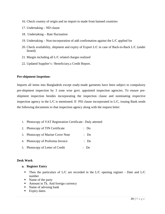- 16. Check country of origin and no import to made from banned countries
- 17. Undertaking ND clause
- 18. Undertaking Rate fluctuation
- 19. Undertaking Non-incorporation of add confirmation against the L/C applied for
- 20. Check availability, shipment and expiry of Export L/C in case of Back-to-Back L/C (under liened)
- 21. Margin including all L/C related charges realized
- 22. Updated Supplier's / Beneficiary,s Credit Report.

#### **Pre-shipment Inspetion:**

Imports all items into Bangladesh except ready-made garments have been subject to compulsory pre-shipment inspection by 3 zone wise govt. appointed inspection agencies. To ensure preshipment inspection besides incorporating the inspection clause and nominating respective inspection agency in the L/C is mentioned. If PSI clause incorporated in L/C, issuing Bank sends the following documents to rhat inspection agency along with the request letter:

- 1. Photocopy of VAT Registration Certificate : Duly attested
- 2. Photocopy of TIN Certificate : Do
- 3. Photocopy of Marine Cover Note : Do
- 4. Photocopy of Proforma Invoice : Do
- 5. Photocopy of Letter of Credit : Do

#### **Desk Work**

- **a. Register Entry**
	- Then the particulars of  $L/C$  are recorded in the  $L/C$  opening register Date and  $L/C$ number
	- Name of the party
	- Amount in Tk. And foreign currency
	- Name of advising bank
	- Expiry dates.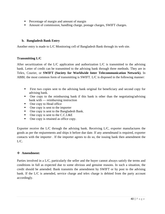- **Percentage of margin and amount of margin**
- Amount of commission, handling charge, postage charges, SWIFT charges.

#### **b. Bangladesh Bank Entry**

Another entry is made to L/C Monitoring cell of Bangladesh Bank through its web site.

#### **Transmitting L/C**

After securitization of the L/C application and authorization L/C is transmitted to the advising bank. Letter of credit can be transmitted to the advising bank through three methods. They are in Telex, Courier, or **SWIFT (Society for Worldwide Inter Telecommunication Network).** In ABBL the most common form of transmitting is SWIFT. L/C is disposed in the following manner:

- First two copies sent to the advising bank original for beneficiary and second copy for advising bank.
- One copy to the reimbursing bank if this bank is other than the negotiating/advising bank with — reimbursing instruction
- One copy to Head office
- One copy is sent to the importer
- One copy is sent to the Bangladesh Bank.
- $\blacksquare$  One copy is sent to the C.C.I.&E
- One copy is retained as office copy.

Exporter receive the L/C through the advising bank. Receiving L/C, exporter manufactures the goods as per the reqiurements and ships it before due date. If any amendmand is required, exporter contacts with the importer . If the importer agrees to do so, the issuing bank then amendment the  $L/C$ .

#### **Amendment:**

Parties involved in a L/C, particularly the seller and the buyer cannot always satisfy the terms and conditions in full as expected due to some obvious and genuine reasons. In such a situation, the credit should be amended. Bank transmits the amendment by SWIFT or by post to the advising bank. If the L/C is amended, service charge and telex charge is debited from the party account accordingly.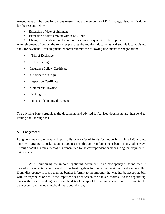Amendment can be done for various reasons under the guideline of F. Exchange. Usually it is done for the reasons below –

- **Extension of date of shipment**
- Extension of draft amount within L/C limit.
- Change of specification of commodities, price or quantity to be imported.

After shipment of goods, the exporter prepares the required documents and submit it to advising bank for payment. After shipment, exporter submits the following documents for negotiation:

- "Bill of Exchange
- Bill of Lading
- **Insurance Policy/ Certificate**
- **Certificate of Origin**
- **Inspection Certificate**
- **Commercial Invoice**
- Packing List
- Full set of shipping documents

The advising bank scrutinizes the documents and advised it. Advised documents are then send to issuing bank through mail.

#### **Lodgement:**

Lodgment means payment of import bills or transfer of funds for import bills. Here L/C issuing bank will arrange to make payment against L/C through reimbursement bank or any other way. Through SWIFT a telex message is transmitted to the correspondent bank ensuring that payment is being made.

 After scrutinizing the import-negotiating document, if no discrepancy is found then it treated to be accepted after the end of five banking days for the day of receipt of the document. But if any discrepancy is found then the banker inform it to the importer that whether be accept the bill with discrepancies or not. If the importer does not accept, the banker informs it to the negotiating bank within seven banking days from the date of receipt of the documents, otherwise it is treated to be accepted and the opening bank must bound to pay.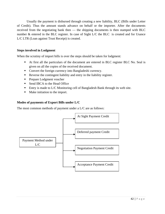Usually the payment is disbursed through creating a new liability, BLC (Bills under Letter of Credit). Thus the amount stands advance on behalf or the importer. After the documents received from the negotiating bank then — the shipping documents is then stamped with BLC number & entered in the BLC register. In case of Sight L/C the BLC is created and for Usance L/C LTR (Loan against Trust Receipt) is created.

#### **Steps involved in Lodgment**

When the scrutiny of import bills is over the steps should be taken for lodgment:

- At first all the particulars of the document are entered in BLC register BLC No. Seal is given on all the copies of the received document.
- Convert the foreign currency into Bangladeshi currency.
- Reverse the contingent liability and entry in the liability register.
- **Prepare Lodgment voucher**
- Send IBCA to the Head Office
- Entry is made to L/C Monitoring cell of Bangladesh Bank through its web site.
- Make initiation to the import.

#### **Modes of payments of Export Bills under L/C**

The most common methods of payment under a L/C are as follows:

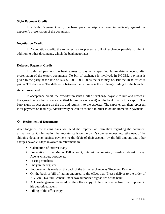#### **Sight Payment Credit**

In a Sight Payment Credit, the bank pays the stipulated sum immediately against the exporter's presentation of the documents.

#### **Negotiation Credit**

In Negotiation credit, the exporter has to present a bill of exchange payable to him in addition to other documents, which the bank negotiates.

#### **Deferred Payment Credit**

In deferred payment the bank agrees to pay on a specified future date or event, after presentation of the export documents. No bill of exchange is involved. In NCCBL, payment is given to the party at the rate of D.A 60-90- 120-1 80 as the case may be. But the Head office is paid at T.T dean rate. The difference between the two rates is the exchange trading for the branch.

#### **Acceptance credit**

In acceptance credit, the exporter presents a bill of exchange payable to him and drawn at the agreed tenor (that is, on a specified future date or event) on the bank that is to accept it. The bank signs its acceptance on the bill and returns it to the exporter. The exporter can then represent it for payment on maturity. Alternatively he can discount it in order to obtain immediate payment.

#### **Retirement of Documents:**

After lodgment the issuing bank will send the importer an intimation regarding the document arrival notice. On intimation the importer calls on the bank's counter requesting retirement of the shipping documents against payment to the debit of their account by the bill amount and other charges payable. Steps involved in retirement are—

- Calculation of interest it any
- **Preparation o the Memo, Bill amount, Interest commission, overdue interest if any,** Agents charges, postage etc
- Passing vouchers.
- $\blacksquare$  Entry in the register
- Endorsement is made on the back of the bill or exchange as 'Received Payment'
- On the back of bill of lading endorsed to the effect that 'Please deliver to the order of AB Bank, Kakrail Branch' under two authorized signatures of the bank
- Acknowledgement received on the office copy of the cost memo from the importer in his authorized agent.
- Filling of the office copy.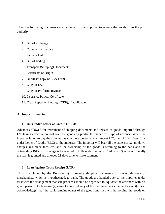Then the following documents are delivered to the importer to release the goods from the port authority:

- 1. Bill of exchange
- 2. Commercial Invoice
- 3. Packing List
- 4. Bill of Lading
- 5. Transport (Shipping) Documents
- 6. Certificate of Origin
- 7. Duplicate copy of LCA Form
- 8. Copy of L/C
- 9. Copy of Proforma Invoice
- 10. Insurance Policy/ Certificate
- 11. Clear Report of Findings (CRF), if applicable.

#### **Import Financing:**

#### **1. Bills under Letter of Credit (BLC):**

Advances allowed for retirement of shipping documents and release of goods imported through L/C taking effective control over the goods by pledge fall under this type of advance. When the importer failed to pay the amount payable the exporter against import L/C, then ABBL gives Bills under Letter of Credit (BLC) to the importer. The importer will bear all the expenses i.e. go down charges, insurance fees, etc. and the ownership of the goods is retaining to the bank and the outstanding Bills of Exchange is transferred to Bills under Letter of Credit (BLC) account. Usually the loan is granted and allowed 21 days time to make payment.

#### **2. Loan Against Trust Receipt (LTR):**

This is excluded by the Borrower(s) to release shipping documents for taking delivery of merchandise, which is hypothecated, to bank. The goods are handed over to the importer under trust with the arrangement that sale proceeds should be deposited to liquidate the advances within a given period. The borrower(s) agree to take delivery of the merchandise as the banks agent(s) arid acknowledge(s) that the bank remains owner of the goods and they will he holding the goods on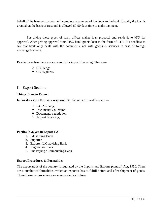behalf of the bank as trustees until complete repayment of the debts to the bank. Usually the loan is granted on the basis of trust and is allowed 60-90 days time to make payment.

For giving these types of loan, officer makes loan proposal and sends it to H/O for approval. Alter getting approval from H/O, bank grants loan in the form of LTR. It's needless to say that bank only deals with the documents, not with goods  $\&$  services in case of foreign exchange business.

Beside these two there are some tools for import financing .These are

- CC Pledge
- CC Hypo etc.

### II. Export Section:

#### **Things Done in Export**

In broader aspect the major responsibility that re performed here are —

- $\triangleleft$  L/C Advising
- Documents Collection
- Documents negotiation
- $\div$  Export financing,

#### **Parties Involves In Export L/C**

- 1. L/C issuing Bank
- 2. Importer
- 3. Exporter L/C advising Bank
- 4. Negotiation Bank
- 5. The Paying / Reimbursing Bank

#### **Export Procedures & Formalities**

The export trade of the country is regulated by the Imports and Exports (control) Act, 1950. There are a number of formalities, which an exporter has to fulfill before and after shipment of goods. These forma or procedures are enumerated as follows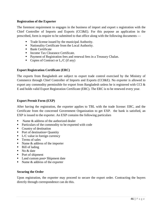#### **Registration of the Exporter**

The foremost requirement to engages in the business of import and export s registration with the Chief Controller of Imports and Exports (CCI&E). For this purpose an application in the prescribed, form is require to be submitted to that office along with the following documents —

- Trade license issued by the municipal Authority.
- **Nationality Certificate from the Local Authority.**
- **Bank Certificate**
- Income Tax Clearance Certificate.
- **Payment of Registration fees and renewal fees in a Treasury Chalan.**
- Copies of Contract or  $L/C$  (if any)

#### **Export Registration Certificate (ERC)**

The exports from Bangladesh are subject to export trade control exercised by the Ministry of Commerce through Chief Controller of Imports and Exports (CCI&E). No exporter is allowed to export any commodity permissible for export from Bangladesh unless he is registered with CCI & E and holds valid Export Registration Certificate (ERC). The ERC is to be renewed every year.

#### **Export Permit Form (EXP)**

After having the registration, the exporter applies to TBL with the trade license: ERC, and the Certificate from the concerned Government Organization to get EXP. the bank is satisfied, an EXP is issued to the exporter. An EXP contains the following particulars

- Name  $\&$  address of the authorized dealer
- Particulars of the commodity to be exported with code
- Country of destination
- Port of destination• Quantity
- $\blacksquare$  L/C value in foreign currency
- **Terms of sales**
- Name  $\&$  address of the importer
- Bill of lading
- No & date
- Port of shipment
- Land custom post• Shipment date
- Name & address of the exporter

#### **Securing the Order**

Upon registration, the exporter may proceed to secure the export order. Contracting the buyers directly through correspondence can do this.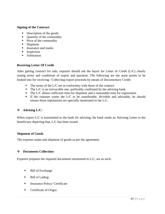#### **Signing of the Contract**:

- Description of the goods
- Quantity of the commodity
- $\blacksquare$  Price of the commodity
- Shipment
- **Insurance and marks**
- **Inspection**
- **Arbitration**

#### **Receiving Letter Of Credit**

After getting contract for sale, exporter should ask the buyer for Letter of Credit (L/C) clearly stating terms and conditions of export and payment. The following are the main points to be looked into for receiving / Collecting export proceeds by means of Documentary Credit:

- $\blacksquare$  The terms of the L/C are in conformity with those of the contract
- $\blacksquare$  The L/C is an irrevocable one, preferably confirmed by the advising bank.
- The L/C allows sufficient time for shipment and a reasonable time for registration
- If the exporter wants the  $L/C$  to be transferable, divisible and advisable, he should ensure those stipulations are specially mentioned in the L/C.

#### **Advising L/C:**

When export L/C is transmitted to the bank for advising, the bank sends an Advising Letter to the beneficiary depicting that, L/C has been issued.

#### **Shipment of Goods**

The exporter make and shipment of goods as per the agreement.

#### **Documents Collection:**

Exporter prepares the required documents mentioned in L/C, are as such:

- **Bill of Exchange**
- Bill of Lading
- **Insurance Policy/ Certificate**
- **Certificate of Origin**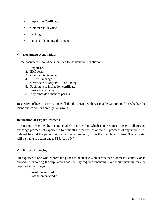- **Inspection Certificate**
- Commercial Invoice
- Packing List
- Full set of shipping documents

#### **Documents Negotiation:**

These documents should be submitted to the bank for negotiation:

- 1. Export L/C
- 2. EXP form
- 3. Commercial invoice
- 4. Bill of Exchange
- 5. Certificate of origin# Bill of Lading
- 6. Packing list# Inspection certificate
- 7. Insurance document
- 8. Any other document as per L/C

Respective officer must scrutinize all the documents with reasonable care to confirm whether the terms and conditions are right or wrong.

#### **Realization of Export Proceeds**

The period prescribes by the Bangladesh Bank within which exporter must receive full foreign exchange proceeds of exporter in four months if the receipt of the full proceeds of any shipment is delayed beyond the period without a special authority from the Bangladesh Bank. The exporter will be liable to action under FER Act, 1947.

#### **Export Financing:**

An exporter is one who exports the goods to another customer whether n domestic country or in abroad. In exporting the stipulated goods he nay requires financing. So export financing may be required at two stages.

- I. Pre-shipment credit
- II. Post shipment credit,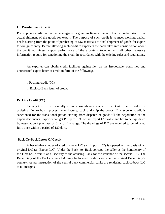#### **I. Pre-shipment Credit**

Pre shipment credit, as the name suggests, Is given to finance the act of an exporter prior to the actual shipment of the goods for export. The purpose of such credit is to meet working capital needs starting from the point of purchasing of raw materials to final shipment of goods for export to foreign country. Before allowing such credit to exporters the bank takes into consideration about the credit worthiness, export performance of the exporters, together with all other necessary information require for sanctioning the credit in accordance with the existing rules and regulations.

An exporter can obtain credit facilities against lien on the irrevocable, confirmed and unrestricted export letter of credit in farm of the followings:

i. Packing credit (PC).

ii. Back-to-Back letter of credit.

#### **Packing Credit (PC)**

Packing Credit. is essentially a short-term advance granted by a Bank to an exporter for assisting him to buy , process, manufacture, pack and ship the goods. This type of credit is sanctioned for the transitional period starting from dispatch of goods till the negotiation of the export documents. Exporter can get PC up to 10% of the Export L/C value and has to be liquidated by negotiation / purchase of Bills of Exchange. The drawings of P.C are required to be adjusted fully once within a period of 180 days.

#### **Back-To-Back Letter Of Credit:**

A back-b-hack letter of credit, a new L/C (an Import L/C) is opened on the basis of an original L/C (an Export L/C). Under the Back -to -Back concept, the seller as the Beneficiary of the First L/C offers it as a 'security to the advising Bank for the issuance of the second L/C. The Beneficiary of the Back-to-Back L/C may be located inside or outside the original Beneficiary's country. As per instruction of the central bank commercial banks are rendering back-to-back L/C at nil margins.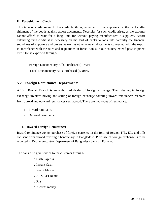#### **II. Post-shipment Credit:**

This type of credit refers to the credit facilities, extended to the exporters by the banks after shipment of the goods against export documents. Necessity for such credit arises, as the exporter cannot afford to wait for a long time for without paying manufacturers / suppliers. Before extending such credit, it is necessary on the Part of banks to look into carefully the financial soundness of exporters and buyers as well as other relevant documents connected with the export in accordance with the rules and regulations in force, Banks in our country extend post shipment credit to the exporters through-

- i. Foreign Documentary Bills Purchased (FDBP).
- ii. Local Documentary Bills Purchased (LDBP).

# **5.2. Foreign Remittance Department:**

ABBL, Kakrail Branch is an authorized dealer of foreign exchange. Their dealing in foreign exchange involves buying and selling of foreign exchange covering inward remittances received from abroad and outward remittances sent abroad. There are two types of remittance:

- 1. Inward remittance
- 2. Outward remittance

#### **1. Inward Foreign Remittance:**

Inward remittance covers purchase of foreign currency in the form of foreign T.T., DL, and bills etc. sent from abroad favoring a beneficiary in Bangladesh. Purchase of foreign exchange is to be reported to Exchange control Department of Bangladesh bank on Form –C.

The bank also give service to the customer through-

 Cash Express Instant Cash Remit Master AFX Fast Remit Ria  $\Box$  X-press money.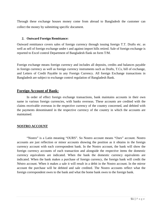Through these exchange houses money come from abroad to Bangladesh the customer can collect the money by submitting specific document.

#### **2. Outward Foreign Remittance:**

Outward remittance covers sales of foreign currency through issuing foreign T.T. Drafts etc. as well as sell of foreign exchange under t and against import hills retired. Sale of foreign exchange is reported to Excel control Department of Bangladesh flank on form T/M.

Foreign exchange means foreign currency and includes all deposits, credits and balances payable in foreign currency as well as foreign currency instruments such as Drafts, T.Cs, bill of exchange, and Letters of Credit Payable in any Foreign Currency. All foreign Exchange transactions in Bangladesh are subject to exchange control regulation of Bangladesh Bank.

#### **Foreign Account of Bank:**

In order of effect foreign exchange transactions, bank maintains accounts in their own name in various foreign currencies, with banks overseas. These accounts are credited with the claims receivable overseas in the respective currency of the country concerned, and debited with the payments denominated in the respective currency of the country in which the accounts are maintained.

#### **NOSTRO ACCOUNT**

"Nostro" is a Latin meaning "OURS". So Nostro account means "Ours" account. Nostro accounts are just reflection or minor accounts showing the position as it obtains in the foreign currency account with each correspondent bank. In the Nostro account, the bank will show the foreign currency accounts of each transaction and alongside the respective items the domestic currency equivalents are indicated. When the bank the domestic currency equivalents are indicated. When the bank makes a purchase of foreign currency, the foreign bank will credit the Néstro account. When it makes a sale it will result in a debit in the Nostro account. In the mirror account the purchase will be debited and sale credited. The Nostro accounts reflect what the foreign correspondent owes to the bank and what the home bank owes to the foreign bank.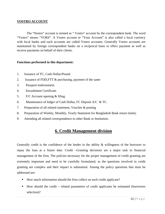#### **VOSTRO ACCOUNT**

The "Nostro" account is termed as " Vostro" account by the correspondent bank. The word "Vostro" means "YORS". A Vostro account or "Your Account" is also called a local currency with local banks and such accounts are called Vostro accounts. Generally Vostro accounts are maintained by foreign correspondent banks on a reciprocal basis to effect payment as well as receive payments on behalf of their clients.

#### **Functions performed in this department:**

- 1. Issuance of TC, Cash Dollar/Pound.
- 2. Issuance of FDD,FTT & purchasing, payment of the same
- 3. Passport endorsement.
- 4. Encashment Certificate.
- 5. F/C Account opening & filing.
- 6. Maintenance of ledger of Cash Dollar, FC Deposit A/C & TC.
- 7. Preparation of all related statement, Voucher & posting
- 8. Preparation of Weekly, Monthly, Yearly Statement for Bangladesh Bank return timely.
- 9. Attending all related correspondence to other Bank or Institution.

# **6. Credit Management division**

Generally credit is the confidence of the lender in the ability  $\&$  willingness of the borrower to repay the loan at a future date. Credit –Granting decisions are a major task in financial management of the firm. The policies necessary for the proper management of credit granting are extremely important and need to be carefully formulated, as the questions involved in credit granting are complex and their impact is substantial. Among the policy questions that must be addressed are:

- How much information should the firm collect on each credit applicant?
- How should the credit related parameters of credit applicants be estimated (borrowers selection)?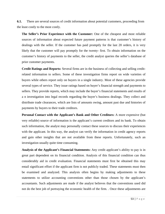**6.1.** There are several sources of credit information about potential customers, proceeding from the least costly to the most costly.

**The Seller's Prior Experience with the Customer:** One of the cheapest and most reliable sources of information about expected future payment patterns is that customer's history of dealings with the seller. If the customer has paid promptly for the last 20 orders, it is very likely that the customer will pay promptly for the twenty- first. To obtain information on the customer's history of payments to the seller, the credit analyst queries the seller's database of prior customer payments.

**Credit Ratings and Reports:** Several firms are in the business of collecting and selling creditrelated information to sellers. Some of these investigation firms report on wide varieties of buyers while others report only on buyers in a single industry. Most of these agencies provide several types of service. They issue ratings based on buyer's financial strength and payments to sellers. They provide reports, which may include the buyer's financial statements and results of a n investigation into legal records regarding the buyer's business dealings. They collect and distribute trade clearances, which are lists of amounts owing, amount past due and histories of payments by buyers to their trade creditors.

**Personal Contact with the Applicant's Bank and Other Creditors:** A more expensive (but very reliable) source of information is the applicant's current creditors and its bank. To obtain such information, the analyst may personally contact these sources to discuss their experiences with the applicant. In this way, the analyst can verify the information in credit agency reports and gain other insights that are not available from these reports. Unfortunately, such an investigation usually quite time consuming.

**Analysis of the Applicant's Financial Statements:** Any credit applicant's ability to pay is in great part dependent on its financial condition. Analysis of this financial condition can thus considerably aid in credit evaluation. Financial statements must first be obtained this may entail significant effort if the applicant firm is not publicly traded. These statements must then be examined and analyzed. This analysis often begins by making adjustments to these statements to utilize accounting conventions other than those chosen by the applicant's accountants. Such adjustments are made if the analyst believes that the conventions used did not do the best job of portraying the economic health of the firm. . Once these adjustments are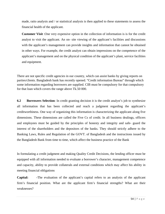made, ratio analysis and / or statistical analysis is then applied to these statements to assess the financial health of the applicant.

**Customer Visit** :One very expensive option in the collection of information is is for the credit analyst to visit the applicant. An on- site viewing of the applicant's facilities and discussions with the applicant's management can provide insights and information that cannot be obtained in other ways. For example, the credit analyst can obtain impressions on the competence of the applicant's management and on the physical condition of the applicant's plant, service facilities and equipment.

There are not specific credit agencies in our country, which can assist banks by giving reports on parties/clients. Bangladesh bank has recently opened. "Credit information Bureau" through which some information regarding borrowers are supplied. CIB must be compulsory for that compulsory for that loan which covers the range above Tk.50 000.

**6.2 Borrowers Selection**: In credit granting decision it is the credit analyst's job to synthesize all information that has been collected and reach a judgment regarding the applicant's creditworthiness. One way of organizing this information is characterizing the applicant along five dimensions. These dimensions are called the Five Cs of credit. In all business dealings, officers and employees must be guided by the principles of honesty and integrity and safe- guard the interest of the shareholders and the depositors of the banks. They should strictly adhere to the Banking Laws, Rules and Regulation of the GOVT. of Bangladesh and the instructions issued by the Bangladesh Bank from time to time, which affect the business practice of the Bank

In formulating a credit judgment and making Quality Credit Decisions, the lending officer must be equipped with all information needed to evaluate a borrower's character, management competence and capacity, ability to provide collaterals and external conditions which may affect his ability in meeting financial obligations

**Capital: -**The evaluation of the applicant's capital refers to an analysis of the applicant firm's financial position. What are the applicant firm's financial strengths? What are their weaknesses?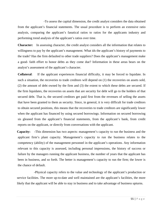-To assess the capital dimension, the credit analyst considers the data obtained from the applicant's financial statements. The usual procedure is to perform an extensive ratio analysis, comparing the applicant's fanatical ratios to ratios for the applicants industry and performing trend analysis of the applicant's ratios over time.

**Character:** In assessing character, the credit analyst considers all the information that relates to willingness to pay by the applicant's management. What ids the applicant's history of payments to the trade? Has the firm defaulted to other trade suppliers? Does the applicant's management make a good- faith effort to honor debts as they come due? Information in these areas bears on the analyst's assessment of the applicant's character.

 **Collateral**: If the applicant experiences financial difficulty, it may be forced to liquidate. In such a situation, the recoveries to trade creditors will depend on (1) the recoveries on assets sold, (2) the amount of debt owned by the firm and (3) the extent to which these debts are secured. If the firm liquidates, the recoveries on assets that are security for debt will go to the holders of that secured debt. That is, the secured creditors get paid first from the revenues of selling the assets that have been granted to them as security. Since, in general, it is very difficult for trade creditors to obtain secured positions, this means that the recoveries to trade creditors are significantly lower when the applicant has financed by using secured borrowings. Information on secured borrowing sis gleaned from the applicant's financial statements, from the applicant's bank, from credit reports on the applicant, or directly from conversations with the applicant.

**Capacity: -**This dimension has two aspects: management's capacity to run the business and the applicant firm's plant capacity. Management's capacity to run the business relates to the competency (ability) of the management personnel in the applicant's operations. Any information relevant to this capacity is assessed, including personal impressions, the history of success or failure by the managers running the applicant business, the number of years that the applicant has been in business, and so forth. The better is management's capacity to run the firm; the lower is the chance of default.

 -Physical capacity refers to the value and technology of the applicant's production or service facilities. The more up-to-date and well maintained are the applicant's facilities, the more likely that the applicant will be able to stay in business and to take advantage of business upturns.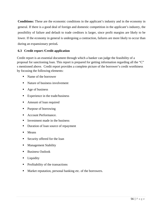**Conditions:** These are the economic conditions in the applicant's industry and in the economy in general. If there is a good deal of foreign and domestic competition in the applicant's industry, the possibility of failure and default to trade creditors is larger, since profit margins are likely to be lower. If the economy in general is undergoing a contraction, failures are more likely to occur than during an expansionary period**.** 

#### **6.3 Credit report /Credit application**

Credit report is an essential document through which a banker can judge the feasibility of a proposal for sanctioning loan. This report is prepared for getting information regarding all the "C" s mentioned above. Credit report provides a complete picture of the borrower's credit worthiness by focusing the following elements:

- Name of the borrower
- Nature of business involvement
- Age of business
- **Experience in the trade/business**
- Amount of loan required
- Purpose of borrowing
- Account Performance.
- Investment made in the business
- Duration of loan source of repayment
- **Means**
- Security offered for the loan
- Management Stability
- Business Outlook
- **Liquidity**
- Profitability of the transactions
- Market reputation, personal banking etc. of the borrowers.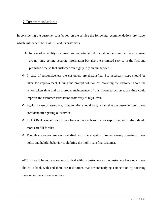#### **7. Recommendation :**

In considering the customer satisfaction on the service the following recommendations are made, which will benefit both ABBL and its customers.

- In case of reliability customers are not satisfied. ABBL should ensure that the customers are not only getting accurate information but also the promised service in the first and promised time so that customer can highly rely on our service.
- $\hat{\cdot}$  In case of responsiveness the customers are dissatisfied. So, necessary steps should be taken for improvement. Giving the prompt solution or informing the customer about the action taken time and also proper maintenance of this informed action taken time could improve the customer satisfaction from very to high level.
- Again in case of assurance, right solution should be given so that the customer feels more confident after getting our service.
- \* In AB Bank kakrail branch they have not enough source for export section, so they should more carefull for that
- Though customers are very satisfied with the empathy. Proper warmly greetings, more polite and helpful behavior could bring the highly satisfied customer.

ABBL should be more conscious to deal with its customers as the customers have now more choice to bank with and there are institutions that are intensifying competition by focusing more on online customer service.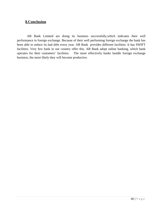# **8.Conclusion**

 AB Bank Limited are doing its business successfully,which indicates their well performance in foreign exchange. Because of their well performing foreign exchange the bank has been able to reduce its bad debt every year. AB Bank provides different facilities. It has SWIFT facilities. Very few bank in our country offer this. AB Bank adopt online banking, which bank operates for their customers' facilities. The more effectively banks handle foreign exchange business, the more likely they will become productive.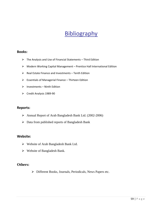# **Bibliography**

#### **Books:**

- $\triangleright$  The Analysis and Use of Financial Statements Third Edition
- ¾ Modern Working Capital Management Prentice Hall International Edition
- $\triangleright$  Real Estate Finance and Investments Tenth Edition
- $\triangleright$  Essentials of Managerial Finance Thirteen Edition
- $\triangleright$  Investments Ninth Edition
- ¾ Credit Analysis 1989‐90

#### **Reports:**

- ¾ Annual Report of Arab Bangladesh Bank Ltd. (2002-2006)
- $\triangleright$  Data from published reports of Bangladesh Bank

#### **Website:**

- ¾ Website of Arab Bangladesh Bank Ltd.
- $\triangleright$  Website of Bangladesh Bank.

#### **Others:**

¾ Different Books, Journals, Periodicals, News Papers etc.